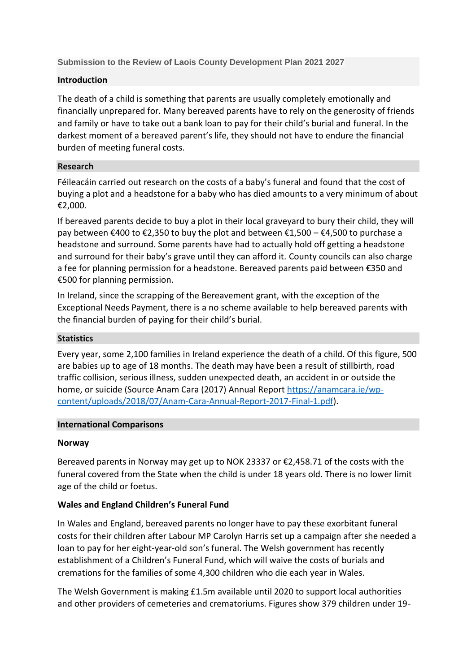**Submission to the Review of Laois County Development Plan 2021 2027**

### **Introduction**

The death of a child is something that parents are usually completely emotionally and financially unprepared for. Many bereaved parents have to rely on the generosity of friends and family or have to take out a bank loan to pay for their child's burial and funeral. In the darkest moment of a bereaved parent's life, they should not have to endure the financial burden of meeting funeral costs.

### **Research**

Féileacáin carried out research on the costs of a baby's funeral and found that the cost of buying a plot and a headstone for a baby who has died amounts to a very minimum of about €2,000.

If bereaved parents decide to buy a plot in their local graveyard to bury their child, they will pay between €400 to €2,350 to buy the plot and between €1,500 – €4,500 to purchase a headstone and surround. Some parents have had to actually hold off getting a headstone and surround for their baby's grave until they can afford it. County councils can also charge a fee for planning permission for a headstone. Bereaved parents paid between €350 and €500 for planning permission.

In Ireland, since the scrapping of the Bereavement grant, with the exception of the Exceptional Needs Payment, there is a no scheme available to help bereaved parents with the financial burden of paying for their child's burial.

### **Statistics**

Every year, some 2,100 families in Ireland experience the death of a child. Of this figure, 500 are babies up to age of 18 months. The death may have been a result of stillbirth, road traffic collision, serious illness, sudden unexpected death, an accident in or outside the home, or suicide (Source Anam Cara (2017) Annual Report [https://anamcara.ie/wp](https://anamcara.ie/wp-content/uploads/2018/07/Anam-Cara-Annual-Report-2017-Final-1.pdf)[content/uploads/2018/07/Anam-Cara-Annual-Report-2017-Final-1.pdf\)](https://anamcara.ie/wp-content/uploads/2018/07/Anam-Cara-Annual-Report-2017-Final-1.pdf).

#### **International Comparisons**

### **Norway**

Bereaved parents in Norway may get up to NOK 23337 or €2,458.71 of the costs with the funeral covered from the State when the child is under 18 years old. There is no lower limit age of the child or foetus.

### **Wales and England Children's Funeral Fund**

In Wales and England, bereaved parents no longer have to pay these exorbitant funeral costs for their children after Labour MP Carolyn Harris set up a campaign after she needed a loan to pay for her eight-year-old son's funeral. The Welsh government has recently establishment of a Children's Funeral Fund, which will waive the costs of burials and cremations for the families of some 4,300 children who die each year in Wales.

The Welsh Government is making £1.5m available until 2020 to support local authorities and other providers of cemeteries and crematoriums. Figures show 379 children under 19